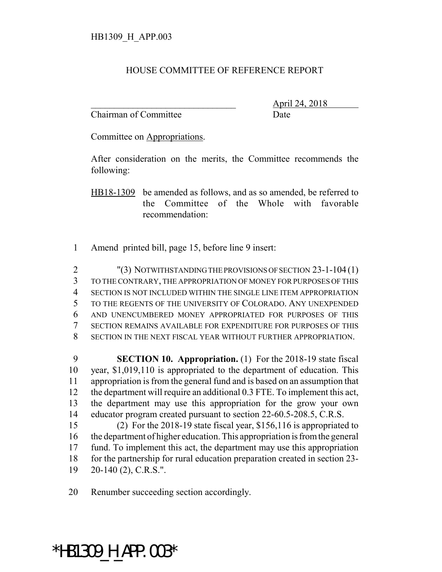## HOUSE COMMITTEE OF REFERENCE REPORT

Chairman of Committee Date

\_\_\_\_\_\_\_\_\_\_\_\_\_\_\_\_\_\_\_\_\_\_\_\_\_\_\_\_\_\_\_ April 24, 2018

Committee on Appropriations.

After consideration on the merits, the Committee recommends the following:

HB18-1309 be amended as follows, and as so amended, be referred to the Committee of the Whole with favorable recommendation:

Amend printed bill, page 15, before line 9 insert:

 "(3) NOTWITHSTANDING THE PROVISIONS OF SECTION 23-1-104 (1) TO THE CONTRARY, THE APPROPRIATION OF MONEY FOR PURPOSES OF THIS SECTION IS NOT INCLUDED WITHIN THE SINGLE LINE ITEM APPROPRIATION TO THE REGENTS OF THE UNIVERSITY OF COLORADO. ANY UNEXPENDED AND UNENCUMBERED MONEY APPROPRIATED FOR PURPOSES OF THIS SECTION REMAINS AVAILABLE FOR EXPENDITURE FOR PURPOSES OF THIS SECTION IN THE NEXT FISCAL YEAR WITHOUT FURTHER APPROPRIATION.

 **SECTION 10. Appropriation.** (1) For the 2018-19 state fiscal year, \$1,019,110 is appropriated to the department of education. This appropriation is from the general fund and is based on an assumption that the department will require an additional 0.3 FTE. To implement this act, the department may use this appropriation for the grow your own educator program created pursuant to section 22-60.5-208.5, C.R.S.

 (2) For the 2018-19 state fiscal year, \$156,116 is appropriated to the department of higher education. This appropriation is from the general fund. To implement this act, the department may use this appropriation for the partnership for rural education preparation created in section 23- 20-140 (2), C.R.S.".

Renumber succeeding section accordingly.

## \*HB1309\_H\_APP.003\*